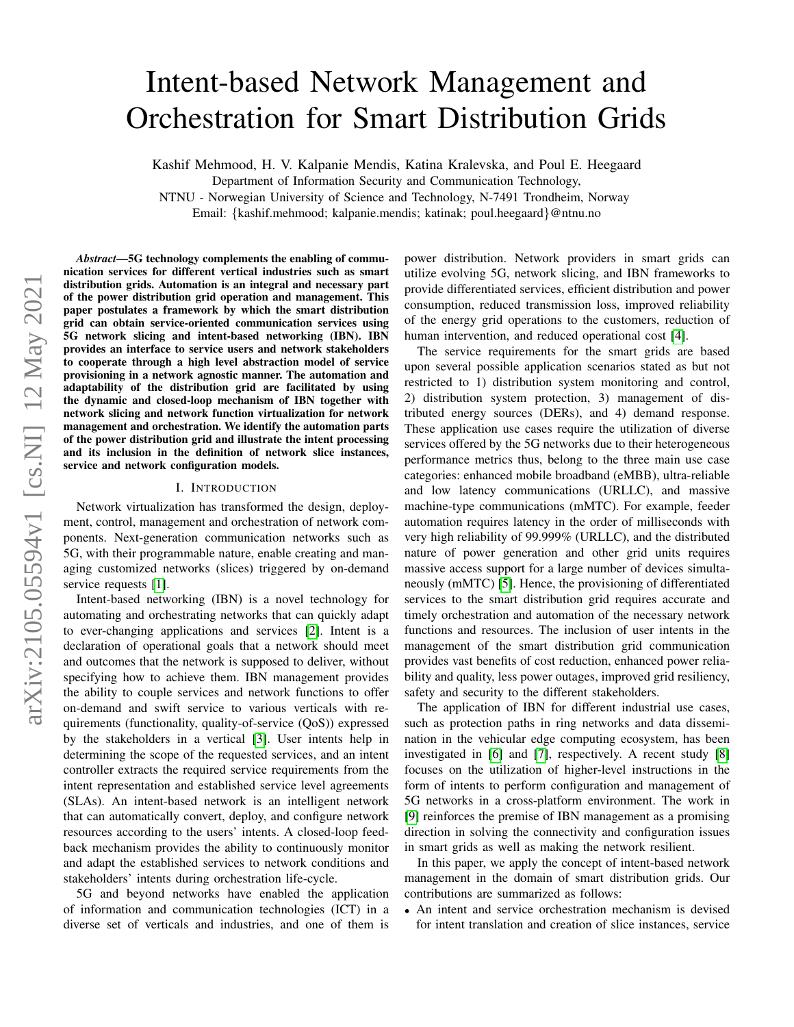# Intent-based Network Management and Orchestration for Smart Distribution Grids

Kashif Mehmood, H. V. Kalpanie Mendis, Katina Kralevska, and Poul E. Heegaard

Department of Information Security and Communication Technology,

NTNU - Norwegian University of Science and Technology, N-7491 Trondheim, Norway

Email: {kashif.mehmood; kalpanie.mendis; katinak; poul.heegaard}@ntnu.no

*Abstract*—5G technology complements the enabling of communication services for different vertical industries such as smart distribution grids. Automation is an integral and necessary part of the power distribution grid operation and management. This paper postulates a framework by which the smart distribution grid can obtain service-oriented communication services using 5G network slicing and intent-based networking (IBN). IBN provides an interface to service users and network stakeholders to cooperate through a high level abstraction model of service provisioning in a network agnostic manner. The automation and adaptability of the distribution grid are facilitated by using the dynamic and closed-loop mechanism of IBN together with network slicing and network function virtualization for network management and orchestration. We identify the automation parts of the power distribution grid and illustrate the intent processing and its inclusion in the definition of network slice instances, service and network configuration models.

#### I. INTRODUCTION

Network virtualization has transformed the design, deployment, control, management and orchestration of network components. Next-generation communication networks such as 5G, with their programmable nature, enable creating and managing customized networks (slices) triggered by on-demand service requests [\[1\]](#page-6-0).

Intent-based networking (IBN) is a novel technology for automating and orchestrating networks that can quickly adapt to ever-changing applications and services [\[2\]](#page-6-1). Intent is a declaration of operational goals that a network should meet and outcomes that the network is supposed to deliver, without specifying how to achieve them. IBN management provides the ability to couple services and network functions to offer on-demand and swift service to various verticals with requirements (functionality, quality-of-service (QoS)) expressed by the stakeholders in a vertical [\[3\]](#page-6-2). User intents help in determining the scope of the requested services, and an intent controller extracts the required service requirements from the intent representation and established service level agreements (SLAs). An intent-based network is an intelligent network that can automatically convert, deploy, and configure network resources according to the users' intents. A closed-loop feedback mechanism provides the ability to continuously monitor and adapt the established services to network conditions and stakeholders' intents during orchestration life-cycle.

5G and beyond networks have enabled the application of information and communication technologies (ICT) in a diverse set of verticals and industries, and one of them is power distribution. Network providers in smart grids can utilize evolving 5G, network slicing, and IBN frameworks to provide differentiated services, efficient distribution and power consumption, reduced transmission loss, improved reliability of the energy grid operations to the customers, reduction of human intervention, and reduced operational cost [\[4\]](#page-6-3).

The service requirements for the smart grids are based upon several possible application scenarios stated as but not restricted to 1) distribution system monitoring and control, 2) distribution system protection, 3) management of distributed energy sources (DERs), and 4) demand response. These application use cases require the utilization of diverse services offered by the 5G networks due to their heterogeneous performance metrics thus, belong to the three main use case categories: enhanced mobile broadband (eMBB), ultra-reliable and low latency communications (URLLC), and massive machine-type communications (mMTC). For example, feeder automation requires latency in the order of milliseconds with very high reliability of 99.999% (URLLC), and the distributed nature of power generation and other grid units requires massive access support for a large number of devices simultaneously (mMTC) [\[5\]](#page-6-4). Hence, the provisioning of differentiated services to the smart distribution grid requires accurate and timely orchestration and automation of the necessary network functions and resources. The inclusion of user intents in the management of the smart distribution grid communication provides vast benefits of cost reduction, enhanced power reliability and quality, less power outages, improved grid resiliency, safety and security to the different stakeholders.

The application of IBN for different industrial use cases, such as protection paths in ring networks and data dissemination in the vehicular edge computing ecosystem, has been investigated in [\[6\]](#page-6-5) and [\[7\]](#page-6-6), respectively. A recent study [\[8\]](#page-6-7) focuses on the utilization of higher-level instructions in the form of intents to perform configuration and management of 5G networks in a cross-platform environment. The work in [\[9\]](#page-6-8) reinforces the premise of IBN management as a promising direction in solving the connectivity and configuration issues in smart grids as well as making the network resilient.

In this paper, we apply the concept of intent-based network management in the domain of smart distribution grids. Our contributions are summarized as follows:

• An intent and service orchestration mechanism is devised for intent translation and creation of slice instances, service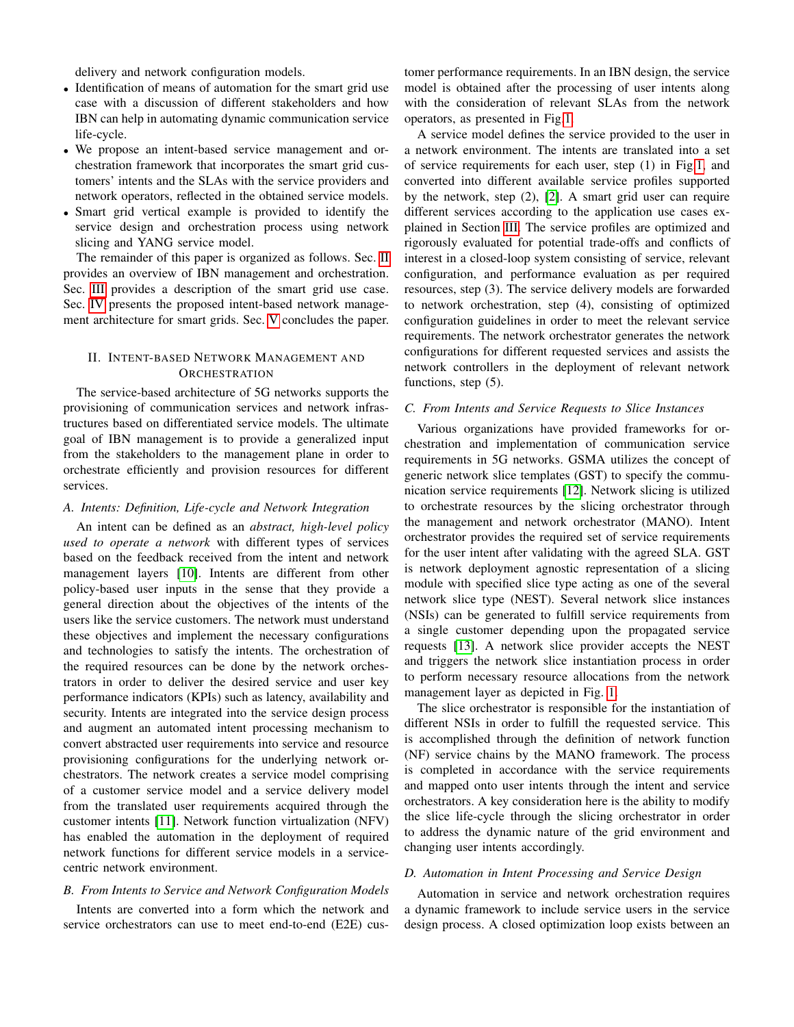delivery and network configuration models.

- Identification of means of automation for the smart grid use case with a discussion of different stakeholders and how IBN can help in automating dynamic communication service life-cycle.
- We propose an intent-based service management and orchestration framework that incorporates the smart grid customers' intents and the SLAs with the service providers and network operators, reflected in the obtained service models.
- Smart grid vertical example is provided to identify the service design and orchestration process using network slicing and YANG service model.

The remainder of this paper is organized as follows. Sec. [II](#page-1-0) provides an overview of IBN management and orchestration. Sec. [III](#page-2-0) provides a description of the smart grid use case. Sec. [IV](#page-3-0) presents the proposed intent-based network management architecture for smart grids. Sec. [V](#page-6-9) concludes the paper.

# <span id="page-1-0"></span>II. INTENT-BASED NETWORK MANAGEMENT AND **ORCHESTRATION**

The service-based architecture of 5G networks supports the provisioning of communication services and network infrastructures based on differentiated service models. The ultimate goal of IBN management is to provide a generalized input from the stakeholders to the management plane in order to orchestrate efficiently and provision resources for different services.

## *A. Intents: Definition, Life-cycle and Network Integration*

An intent can be defined as an *abstract, high-level policy used to operate a network* with different types of services based on the feedback received from the intent and network management layers [\[10\]](#page-6-10). Intents are different from other policy-based user inputs in the sense that they provide a general direction about the objectives of the intents of the users like the service customers. The network must understand these objectives and implement the necessary configurations and technologies to satisfy the intents. The orchestration of the required resources can be done by the network orchestrators in order to deliver the desired service and user key performance indicators (KPIs) such as latency, availability and security. Intents are integrated into the service design process and augment an automated intent processing mechanism to convert abstracted user requirements into service and resource provisioning configurations for the underlying network orchestrators. The network creates a service model comprising of a customer service model and a service delivery model from the translated user requirements acquired through the customer intents [\[11\]](#page-6-11). Network function virtualization (NFV) has enabled the automation in the deployment of required network functions for different service models in a servicecentric network environment.

## *B. From Intents to Service and Network Configuration Models*

Intents are converted into a form which the network and service orchestrators can use to meet end-to-end (E2E) customer performance requirements. In an IBN design, the service model is obtained after the processing of user intents along with the consideration of relevant SLAs from the network operators, as presented in Fig[.1.](#page-2-1)

A service model defines the service provided to the user in a network environment. The intents are translated into a set of service requirements for each user, step (1) in Fig[.1,](#page-2-1) and converted into different available service profiles supported by the network, step (2), [\[2\]](#page-6-1). A smart grid user can require different services according to the application use cases explained in Section [III.](#page-2-0) The service profiles are optimized and rigorously evaluated for potential trade-offs and conflicts of interest in a closed-loop system consisting of service, relevant configuration, and performance evaluation as per required resources, step (3). The service delivery models are forwarded to network orchestration, step (4), consisting of optimized configuration guidelines in order to meet the relevant service requirements. The network orchestrator generates the network configurations for different requested services and assists the network controllers in the deployment of relevant network functions, step (5).

## *C. From Intents and Service Requests to Slice Instances*

Various organizations have provided frameworks for orchestration and implementation of communication service requirements in 5G networks. GSMA utilizes the concept of generic network slice templates (GST) to specify the communication service requirements [\[12\]](#page-6-12). Network slicing is utilized to orchestrate resources by the slicing orchestrator through the management and network orchestrator (MANO). Intent orchestrator provides the required set of service requirements for the user intent after validating with the agreed SLA. GST is network deployment agnostic representation of a slicing module with specified slice type acting as one of the several network slice type (NEST). Several network slice instances (NSIs) can be generated to fulfill service requirements from a single customer depending upon the propagated service requests [\[13\]](#page-6-13). A network slice provider accepts the NEST and triggers the network slice instantiation process in order to perform necessary resource allocations from the network management layer as depicted in Fig. [1.](#page-2-1)

The slice orchestrator is responsible for the instantiation of different NSIs in order to fulfill the requested service. This is accomplished through the definition of network function (NF) service chains by the MANO framework. The process is completed in accordance with the service requirements and mapped onto user intents through the intent and service orchestrators. A key consideration here is the ability to modify the slice life-cycle through the slicing orchestrator in order to address the dynamic nature of the grid environment and changing user intents accordingly.

### *D. Automation in Intent Processing and Service Design*

Automation in service and network orchestration requires a dynamic framework to include service users in the service design process. A closed optimization loop exists between an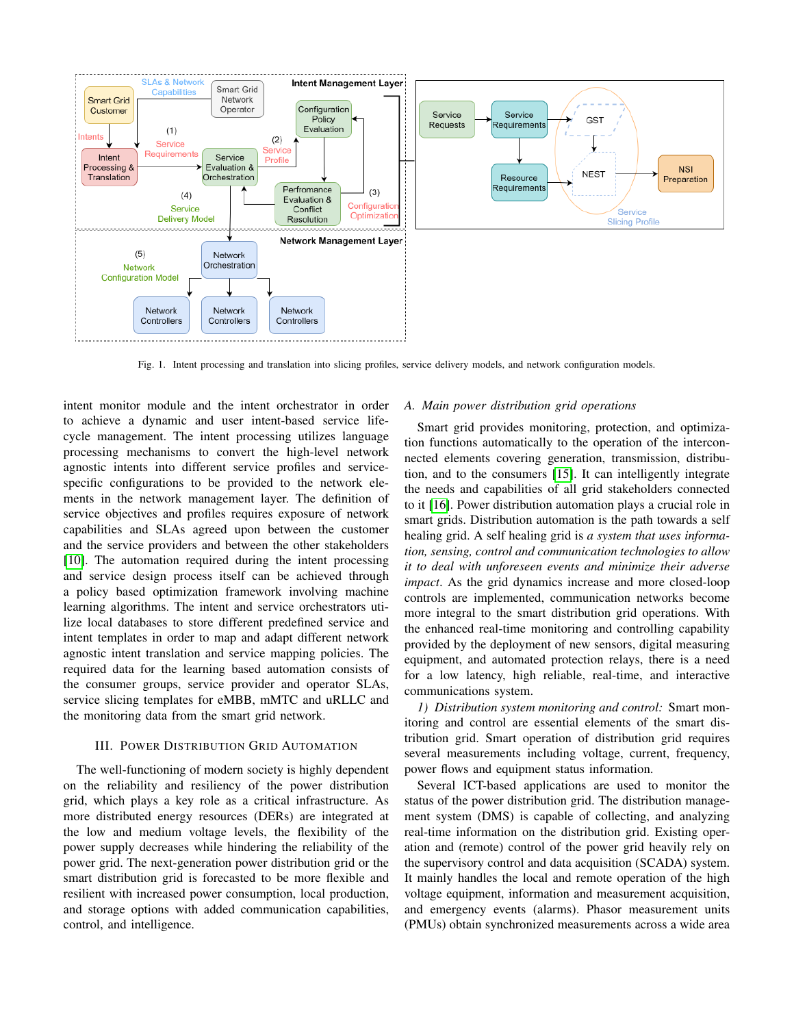

<span id="page-2-1"></span>Fig. 1. Intent processing and translation into slicing profiles, service delivery models, and network configuration models.

intent monitor module and the intent orchestrator in order to achieve a dynamic and user intent-based service lifecycle management. The intent processing utilizes language processing mechanisms to convert the high-level network agnostic intents into different service profiles and servicespecific configurations to be provided to the network elements in the network management layer. The definition of service objectives and profiles requires exposure of network capabilities and SLAs agreed upon between the customer and the service providers and between the other stakeholders [\[10\]](#page-6-10). The automation required during the intent processing and service design process itself can be achieved through a policy based optimization framework involving machine learning algorithms. The intent and service orchestrators utilize local databases to store different predefined service and intent templates in order to map and adapt different network agnostic intent translation and service mapping policies. The required data for the learning based automation consists of the consumer groups, service provider and operator SLAs, service slicing templates for eMBB, mMTC and uRLLC and the monitoring data from the smart grid network.

### III. POWER DISTRIBUTION GRID AUTOMATION

<span id="page-2-0"></span>The well-functioning of modern society is highly dependent on the reliability and resiliency of the power distribution grid, which plays a key role as a critical infrastructure. As more distributed energy resources (DERs) are integrated at the low and medium voltage levels, the flexibility of the power supply decreases while hindering the reliability of the power grid. The next-generation power distribution grid or the smart distribution grid is forecasted to be more flexible and resilient with increased power consumption, local production, and storage options with added communication capabilities, control, and intelligence.

## *A. Main power distribution grid operations*

Smart grid provides monitoring, protection, and optimization functions automatically to the operation of the interconnected elements covering generation, transmission, distribution, and to the consumers [\[15\]](#page-6-14). It can intelligently integrate the needs and capabilities of all grid stakeholders connected to it [\[16\]](#page-6-15). Power distribution automation plays a crucial role in smart grids. Distribution automation is the path towards a self healing grid. A self healing grid is *a system that uses information, sensing, control and communication technologies to allow it to deal with unforeseen events and minimize their adverse impact*. As the grid dynamics increase and more closed-loop controls are implemented, communication networks become more integral to the smart distribution grid operations. With the enhanced real-time monitoring and controlling capability provided by the deployment of new sensors, digital measuring equipment, and automated protection relays, there is a need for a low latency, high reliable, real-time, and interactive communications system.

*1) Distribution system monitoring and control:* Smart monitoring and control are essential elements of the smart distribution grid. Smart operation of distribution grid requires several measurements including voltage, current, frequency, power flows and equipment status information.

Several ICT-based applications are used to monitor the status of the power distribution grid. The distribution management system (DMS) is capable of collecting, and analyzing real-time information on the distribution grid. Existing operation and (remote) control of the power grid heavily rely on the supervisory control and data acquisition (SCADA) system. It mainly handles the local and remote operation of the high voltage equipment, information and measurement acquisition, and emergency events (alarms). Phasor measurement units (PMUs) obtain synchronized measurements across a wide area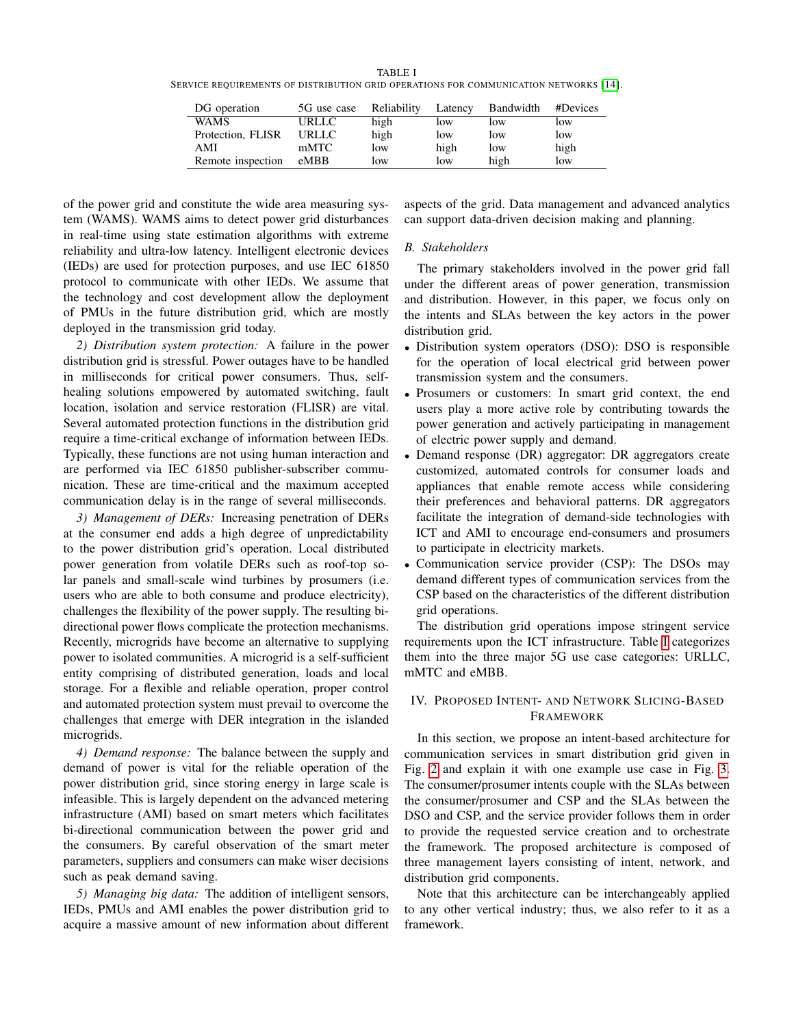<span id="page-3-1"></span>TABLE I SERVICE REQUIREMENTS OF DISTRIBUTION GRID OPERATIONS FOR COMMUNICATION NETWORKS [\[14\]](#page-6-16).

| DG operation      | 5G use case | Reliability | Latency | Bandwidth | #Devices |
|-------------------|-------------|-------------|---------|-----------|----------|
| <b>WAMS</b>       | URLLC       | high        | low     | low       | low      |
| Protection, FLISR | URLLC.      | high        | low     | low       | low      |
| AMI               | mMTC        | low         | high    | low       | high     |
| Remote inspection | eMBB        | low         | low     | high      | low      |

of the power grid and constitute the wide area measuring system (WAMS). WAMS aims to detect power grid disturbances in real-time using state estimation algorithms with extreme reliability and ultra-low latency. Intelligent electronic devices (IEDs) are used for protection purposes, and use IEC 61850 protocol to communicate with other IEDs. We assume that the technology and cost development allow the deployment of PMUs in the future distribution grid, which are mostly deployed in the transmission grid today.

*2) Distribution system protection:* A failure in the power distribution grid is stressful. Power outages have to be handled in milliseconds for critical power consumers. Thus, selfhealing solutions empowered by automated switching, fault location, isolation and service restoration (FLISR) are vital. Several automated protection functions in the distribution grid require a time-critical exchange of information between IEDs. Typically, these functions are not using human interaction and are performed via IEC 61850 publisher-subscriber communication. These are time-critical and the maximum accepted communication delay is in the range of several milliseconds.

*3) Management of DERs:* Increasing penetration of DERs at the consumer end adds a high degree of unpredictability to the power distribution grid's operation. Local distributed power generation from volatile DERs such as roof-top solar panels and small-scale wind turbines by prosumers (i.e. users who are able to both consume and produce electricity), challenges the flexibility of the power supply. The resulting bidirectional power flows complicate the protection mechanisms. Recently, microgrids have become an alternative to supplying power to isolated communities. A microgrid is a self-sufficient entity comprising of distributed generation, loads and local storage. For a flexible and reliable operation, proper control and automated protection system must prevail to overcome the challenges that emerge with DER integration in the islanded microgrids.

*4) Demand response:* The balance between the supply and demand of power is vital for the reliable operation of the power distribution grid, since storing energy in large scale is infeasible. This is largely dependent on the advanced metering infrastructure (AMI) based on smart meters which facilitates bi-directional communication between the power grid and the consumers. By careful observation of the smart meter parameters, suppliers and consumers can make wiser decisions such as peak demand saving.

*5) Managing big data:* The addition of intelligent sensors, IEDs, PMUs and AMI enables the power distribution grid to acquire a massive amount of new information about different

aspects of the grid. Data management and advanced analytics can support data-driven decision making and planning.

## *B. Stakeholders*

The primary stakeholders involved in the power grid fall under the different areas of power generation, transmission and distribution. However, in this paper, we focus only on the intents and SLAs between the key actors in the power distribution grid.

- Distribution system operators (DSO): DSO is responsible for the operation of local electrical grid between power transmission system and the consumers.
- Prosumers or customers: In smart grid context, the end users play a more active role by contributing towards the power generation and actively participating in management of electric power supply and demand.
- Demand response (DR) aggregator: DR aggregators create customized, automated controls for consumer loads and appliances that enable remote access while considering their preferences and behavioral patterns. DR aggregators facilitate the integration of demand-side technologies with ICT and AMI to encourage end-consumers and prosumers to participate in electricity markets.
- Communication service provider (CSP): The DSOs may demand different types of communication services from the CSP based on the characteristics of the different distribution grid operations.

The distribution grid operations impose stringent service requirements upon the ICT infrastructure. Table [I](#page-3-1) categorizes them into the three major 5G use case categories: URLLC, mMTC and eMBB.

# <span id="page-3-0"></span>IV. PROPOSED INTENT- AND NETWORK SLICING-BASED FRAMEWORK

In this section, we propose an intent-based architecture for communication services in smart distribution grid given in Fig. [2](#page-4-0) and explain it with one example use case in Fig. [3.](#page-5-0) The consumer/prosumer intents couple with the SLAs between the consumer/prosumer and CSP and the SLAs between the DSO and CSP, and the service provider follows them in order to provide the requested service creation and to orchestrate the framework. The proposed architecture is composed of three management layers consisting of intent, network, and distribution grid components.

Note that this architecture can be interchangeably applied to any other vertical industry; thus, we also refer to it as a framework.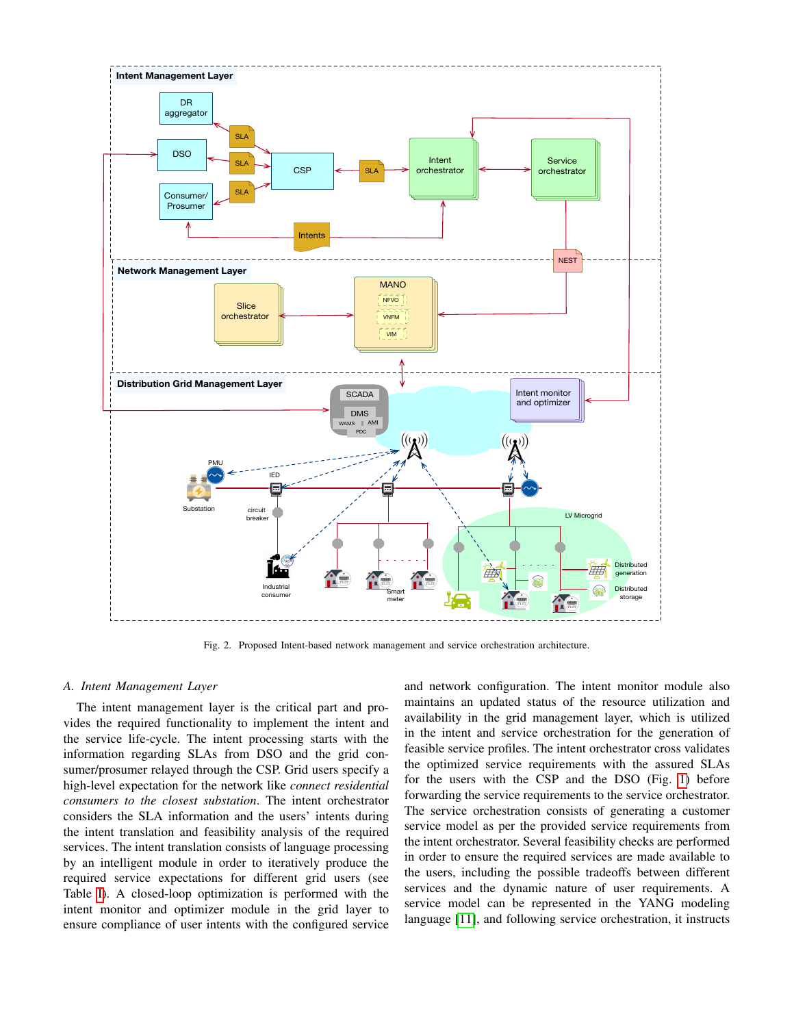

<span id="page-4-0"></span>Fig. 2. Proposed Intent-based network management and service orchestration architecture.

#### *A. Intent Management Layer*

The intent management layer is the critical part and provides the required functionality to implement the intent and the service life-cycle. The intent processing starts with the information regarding SLAs from DSO and the grid consumer/prosumer relayed through the CSP. Grid users specify a high-level expectation for the network like *connect residential consumers to the closest substation*. The intent orchestrator considers the SLA information and the users' intents during the intent translation and feasibility analysis of the required services. The intent translation consists of language processing by an intelligent module in order to iteratively produce the required service expectations for different grid users (see Table [I\)](#page-3-1). A closed-loop optimization is performed with the intent monitor and optimizer module in the grid layer to ensure compliance of user intents with the configured service

and network configuration. The intent monitor module also maintains an updated status of the resource utilization and availability in the grid management layer, which is utilized in the intent and service orchestration for the generation of feasible service profiles. The intent orchestrator cross validates the optimized service requirements with the assured SLAs for the users with the CSP and the DSO (Fig. [1\)](#page-2-1) before forwarding the service requirements to the service orchestrator. The service orchestration consists of generating a customer service model as per the provided service requirements from the intent orchestrator. Several feasibility checks are performed in order to ensure the required services are made available to the users, including the possible tradeoffs between different services and the dynamic nature of user requirements. A service model can be represented in the YANG modeling language [\[11\]](#page-6-11), and following service orchestration, it instructs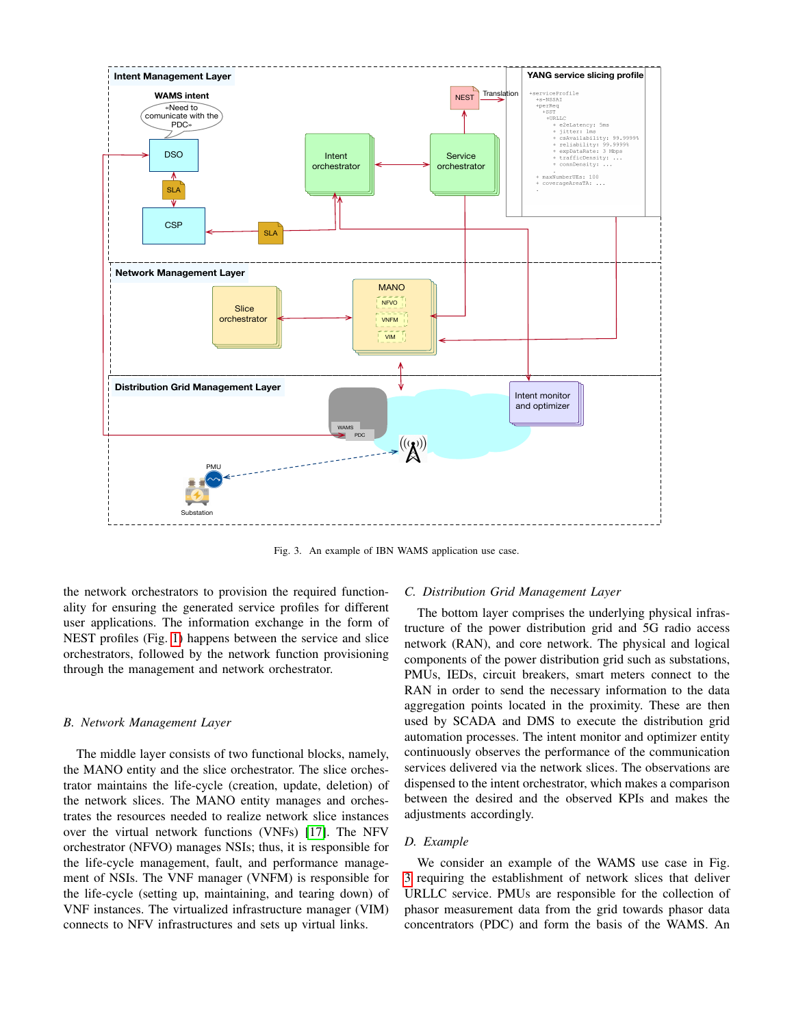

<span id="page-5-0"></span>Fig. 3. An example of IBN WAMS application use case.

the network orchestrators to provision the required functionality for ensuring the generated service profiles for different user applications. The information exchange in the form of NEST profiles (Fig. [1\)](#page-2-1) happens between the service and slice orchestrators, followed by the network function provisioning through the management and network orchestrator.

## *B. Network Management Layer*

The middle layer consists of two functional blocks, namely, the MANO entity and the slice orchestrator. The slice orchestrator maintains the life-cycle (creation, update, deletion) of the network slices. The MANO entity manages and orchestrates the resources needed to realize network slice instances over the virtual network functions (VNFs) [\[17\]](#page-6-17). The NFV orchestrator (NFVO) manages NSIs; thus, it is responsible for the life-cycle management, fault, and performance management of NSIs. The VNF manager (VNFM) is responsible for the life-cycle (setting up, maintaining, and tearing down) of VNF instances. The virtualized infrastructure manager (VIM) connects to NFV infrastructures and sets up virtual links.

## *C. Distribution Grid Management Layer*

The bottom layer comprises the underlying physical infrastructure of the power distribution grid and 5G radio access network (RAN), and core network. The physical and logical components of the power distribution grid such as substations, PMUs, IEDs, circuit breakers, smart meters connect to the RAN in order to send the necessary information to the data aggregation points located in the proximity. These are then used by SCADA and DMS to execute the distribution grid automation processes. The intent monitor and optimizer entity continuously observes the performance of the communication services delivered via the network slices. The observations are dispensed to the intent orchestrator, which makes a comparison between the desired and the observed KPIs and makes the adjustments accordingly.

## *D. Example*

We consider an example of the WAMS use case in Fig. [3](#page-5-0) requiring the establishment of network slices that deliver URLLC service. PMUs are responsible for the collection of phasor measurement data from the grid towards phasor data concentrators (PDC) and form the basis of the WAMS. An